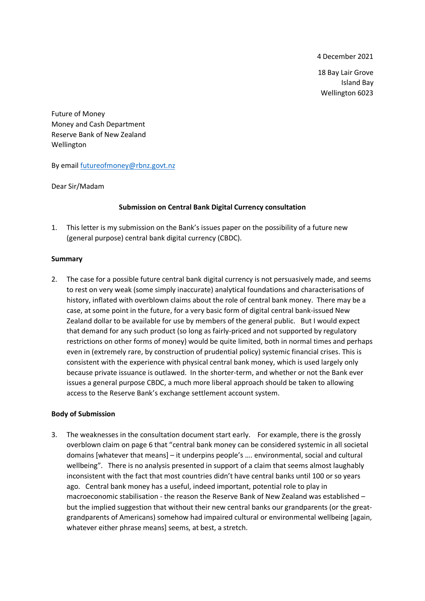4 December 2021

18 Bay Lair Grove Island Bay Wellington 6023

Future of Money Money and Cash Department Reserve Bank of New Zealand Wellington

By emai[l futureofmoney@rbnz.govt.nz](mailto:futureofmoney@rbnz.govt.nz)

Dear Sir/Madam

## **Submission on Central Bank Digital Currency consultation**

1. This letter is my submission on the Bank's issues paper on the possibility of a future new (general purpose) central bank digital currency (CBDC).

## **Summary**

2. The case for a possible future central bank digital currency is not persuasively made, and seems to rest on very weak (some simply inaccurate) analytical foundations and characterisations of history, inflated with overblown claims about the role of central bank money. There may be a case, at some point in the future, for a very basic form of digital central bank-issued New Zealand dollar to be available for use by members of the general public. But I would expect that demand for any such product (so long as fairly-priced and not supported by regulatory restrictions on other forms of money) would be quite limited, both in normal times and perhaps even in (extremely rare, by construction of prudential policy) systemic financial crises. This is consistent with the experience with physical central bank money, which is used largely only because private issuance is outlawed. In the shorter-term, and whether or not the Bank ever issues a general purpose CBDC, a much more liberal approach should be taken to allowing access to the Reserve Bank's exchange settlement account system.

## **Body of Submission**

3. The weaknesses in the consultation document start early. For example, there is the grossly overblown claim on page 6 that "central bank money can be considered systemic in all societal domains [whatever that means] – it underpins people's …. environmental, social and cultural wellbeing". There is no analysis presented in support of a claim that seems almost laughably inconsistent with the fact that most countries didn't have central banks until 100 or so years ago. Central bank money has a useful, indeed important, potential role to play in macroeconomic stabilisation - the reason the Reserve Bank of New Zealand was established – but the implied suggestion that without their new central banks our grandparents (or the greatgrandparents of Americans) somehow had impaired cultural or environmental wellbeing [again, whatever either phrase means] seems, at best, a stretch.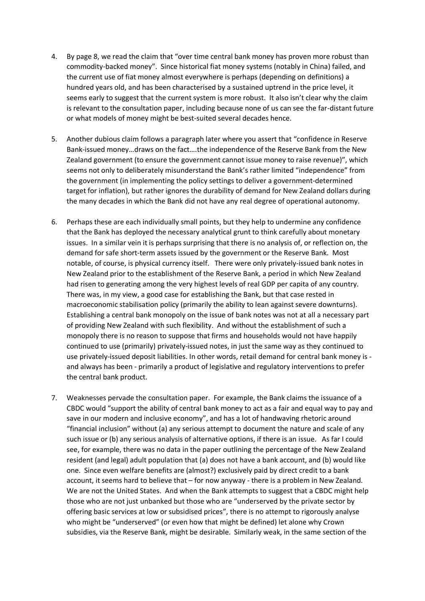- 4. By page 8, we read the claim that "over time central bank money has proven more robust than commodity-backed money". Since historical fiat money systems (notably in China) failed, and the current use of fiat money almost everywhere is perhaps (depending on definitions) a hundred years old, and has been characterised by a sustained uptrend in the price level, it seems early to suggest that the current system is more robust. It also isn't clear why the claim is relevant to the consultation paper, including because none of us can see the far-distant future or what models of money might be best-suited several decades hence.
- 5. Another dubious claim follows a paragraph later where you assert that "confidence in Reserve Bank-issued money…draws on the fact….the independence of the Reserve Bank from the New Zealand government (to ensure the government cannot issue money to raise revenue)", which seems not only to deliberately misunderstand the Bank's rather limited "independence" from the government (in implementing the policy settings to deliver a government-determined target for inflation), but rather ignores the durability of demand for New Zealand dollars during the many decades in which the Bank did not have any real degree of operational autonomy.
- 6. Perhaps these are each individually small points, but they help to undermine any confidence that the Bank has deployed the necessary analytical grunt to think carefully about monetary issues. In a similar vein it is perhaps surprising that there is no analysis of, or reflection on, the demand for safe short-term assets issued by the government or the Reserve Bank. Most notable, of course, is physical currency itself. There were only privately-issued bank notes in New Zealand prior to the establishment of the Reserve Bank, a period in which New Zealand had risen to generating among the very highest levels of real GDP per capita of any country. There was, in my view, a good case for establishing the Bank, but that case rested in macroeconomic stabilisation policy (primarily the ability to lean against severe downturns). Establishing a central bank monopoly on the issue of bank notes was not at all a necessary part of providing New Zealand with such flexibility. And without the establishment of such a monopoly there is no reason to suppose that firms and households would not have happily continued to use (primarily) privately-issued notes, in just the same way as they continued to use privately-issued deposit liabilities. In other words, retail demand for central bank money is and always has been - primarily a product of legislative and regulatory interventions to prefer the central bank product.
- 7. Weaknesses pervade the consultation paper. For example, the Bank claims the issuance of a CBDC would "support the ability of central bank money to act as a fair and equal way to pay and save in our modern and inclusive economy", and has a lot of handwaving rhetoric around "financial inclusion" without (a) any serious attempt to document the nature and scale of any such issue or (b) any serious analysis of alternative options, if there is an issue. As far I could see, for example, there was no data in the paper outlining the percentage of the New Zealand resident (and legal) adult population that (a) does not have a bank account, and (b) would like one. Since even welfare benefits are (almost?) exclusively paid by direct credit to a bank account, it seems hard to believe that – for now anyway - there is a problem in New Zealand. We are not the United States. And when the Bank attempts to suggest that a CBDC might help those who are not just unbanked but those who are "underserved by the private sector by offering basic services at low or subsidised prices", there is no attempt to rigorously analyse who might be "underserved" (or even how that might be defined) let alone why Crown subsidies, via the Reserve Bank, might be desirable. Similarly weak, in the same section of the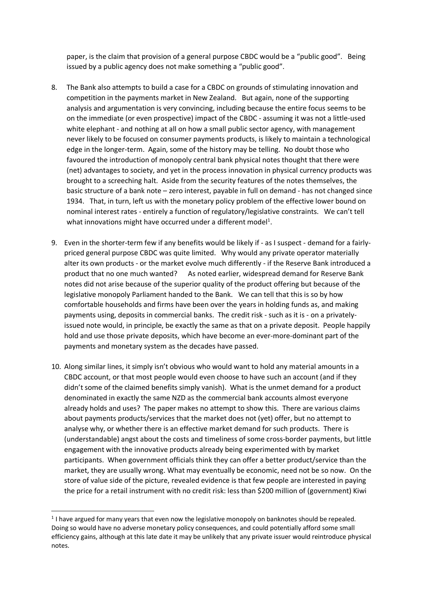paper, is the claim that provision of a general purpose CBDC would be a "public good". Being issued by a public agency does not make something a "public good".

- 8. The Bank also attempts to build a case for a CBDC on grounds of stimulating innovation and competition in the payments market in New Zealand. But again, none of the supporting analysis and argumentation is very convincing, including because the entire focus seems to be on the immediate (or even prospective) impact of the CBDC - assuming it was not a little-used white elephant - and nothing at all on how a small public sector agency, with management never likely to be focused on consumer payments products, is likely to maintain a technological edge in the longer-term. Again, some of the history may be telling. No doubt those who favoured the introduction of monopoly central bank physical notes thought that there were (net) advantages to society, and yet in the process innovation in physical currency products was brought to a screeching halt. Aside from the security features of the notes themselves, the basic structure of a bank note – zero interest, payable in full on demand - has not changed since 1934. That, in turn, left us with the monetary policy problem of the effective lower bound on nominal interest rates - entirely a function of regulatory/legislative constraints. We can't tell what innovations might have occurred under a different model<sup>1</sup>.
- 9. Even in the shorter-term few if any benefits would be likely if as I suspect demand for a fairlypriced general purpose CBDC was quite limited. Why would any private operator materially alter its own products - or the market evolve much differently - if the Reserve Bank introduced a product that no one much wanted? As noted earlier, widespread demand for Reserve Bank notes did not arise because of the superior quality of the product offering but because of the legislative monopoly Parliament handed to the Bank. We can tell that this is so by how comfortable households and firms have been over the years in holding funds as, and making payments using, deposits in commercial banks. The credit risk - such as it is - on a privatelyissued note would, in principle, be exactly the same as that on a private deposit. People happily hold and use those private deposits, which have become an ever-more-dominant part of the payments and monetary system as the decades have passed.
- 10. Along similar lines, it simply isn't obvious who would want to hold any material amounts in a CBDC account, or that most people would even choose to have such an account (and if they didn't some of the claimed benefits simply vanish). What is the unmet demand for a product denominated in exactly the same NZD as the commercial bank accounts almost everyone already holds and uses? The paper makes no attempt to show this. There are various claims about payments products/services that the market does not (yet) offer, but no attempt to analyse why, or whether there is an effective market demand for such products. There is (understandable) angst about the costs and timeliness of some cross-border payments, but little engagement with the innovative products already being experimented with by market participants. When government officials think they can offer a better product/service than the market, they are usually wrong. What may eventually be economic, need not be so now. On the store of value side of the picture, revealed evidence is that few people are interested in paying the price for a retail instrument with no credit risk: less than \$200 million of (government) Kiwi

 $<sup>1</sup>$  I have argued for many years that even now the legislative monopoly on banknotes should be repealed.</sup> Doing so would have no adverse monetary policy consequences, and could potentially afford some small efficiency gains, although at this late date it may be unlikely that any private issuer would reintroduce physical notes.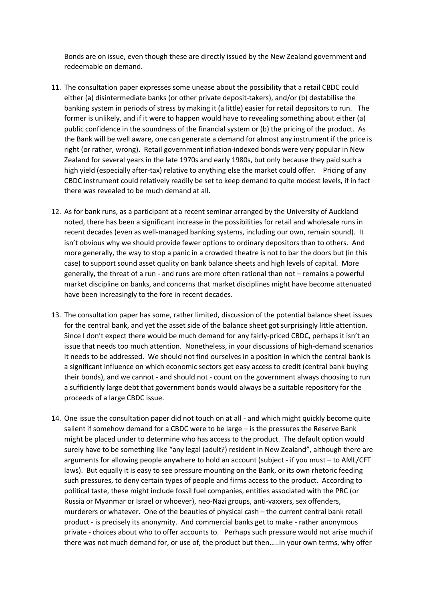Bonds are on issue, even though these are directly issued by the New Zealand government and redeemable on demand.

- 11. The consultation paper expresses some unease about the possibility that a retail CBDC could either (a) disintermediate banks (or other private deposit-takers), and/or (b) destabilise the banking system in periods of stress by making it (a little) easier for retail depositors to run. The former is unlikely, and if it were to happen would have to revealing something about either (a) public confidence in the soundness of the financial system or (b) the pricing of the product. As the Bank will be well aware, one can generate a demand for almost any instrument if the price is right (or rather, wrong). Retail government inflation-indexed bonds were very popular in New Zealand for several years in the late 1970s and early 1980s, but only because they paid such a high yield (especially after-tax) relative to anything else the market could offer. Pricing of any CBDC instrument could relatively readily be set to keep demand to quite modest levels, if in fact there was revealed to be much demand at all.
- 12. As for bank runs, as a participant at a recent seminar arranged by the University of Auckland noted, there has been a significant increase in the possibilities for retail and wholesale runs in recent decades (even as well-managed banking systems, including our own, remain sound). It isn't obvious why we should provide fewer options to ordinary depositors than to others. And more generally, the way to stop a panic in a crowded theatre is not to bar the doors but (in this case) to support sound asset quality on bank balance sheets and high levels of capital. More generally, the threat of a run - and runs are more often rational than not – remains a powerful market discipline on banks, and concerns that market disciplines might have become attenuated have been increasingly to the fore in recent decades.
- 13. The consultation paper has some, rather limited, discussion of the potential balance sheet issues for the central bank, and yet the asset side of the balance sheet got surprisingly little attention. Since I don't expect there would be much demand for any fairly-priced CBDC, perhaps it isn't an issue that needs too much attention. Nonetheless, in your discussions of high-demand scenarios it needs to be addressed. We should not find ourselves in a position in which the central bank is a significant influence on which economic sectors get easy access to credit (central bank buying their bonds), and we cannot - and should not - count on the government always choosing to run a sufficiently large debt that government bonds would always be a suitable repository for the proceeds of a large CBDC issue.
- 14. One issue the consultation paper did not touch on at all and which might quickly become quite salient if somehow demand for a CBDC were to be large – is the pressures the Reserve Bank might be placed under to determine who has access to the product. The default option would surely have to be something like "any legal (adult?) resident in New Zealand", although there are arguments for allowing people anywhere to hold an account (subject - if you must – to AML/CFT laws). But equally it is easy to see pressure mounting on the Bank, or its own rhetoric feeding such pressures, to deny certain types of people and firms access to the product. According to political taste, these might include fossil fuel companies, entities associated with the PRC (or Russia or Myanmar or Israel or whoever), neo-Nazi groups, anti-vaxxers, sex offenders, murderers or whatever. One of the beauties of physical cash – the current central bank retail product - is precisely its anonymity. And commercial banks get to make - rather anonymous private - choices about who to offer accounts to. Perhaps such pressure would not arise much if there was not much demand for, or use of, the product but then…..in your own terms, why offer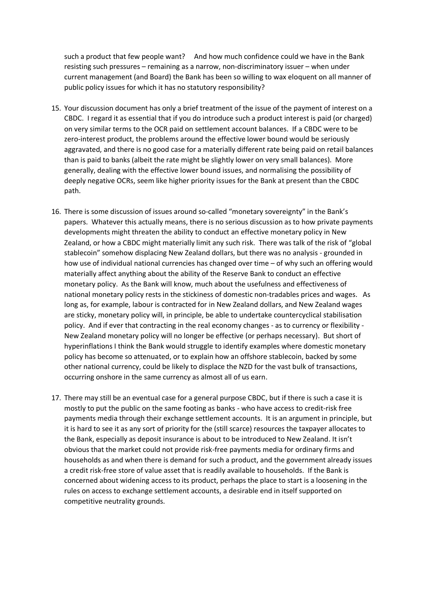such a product that few people want? And how much confidence could we have in the Bank resisting such pressures – remaining as a narrow, non-discriminatory issuer – when under current management (and Board) the Bank has been so willing to wax eloquent on all manner of public policy issues for which it has no statutory responsibility?

- 15. Your discussion document has only a brief treatment of the issue of the payment of interest on a CBDC. I regard it as essential that if you do introduce such a product interest is paid (or charged) on very similar terms to the OCR paid on settlement account balances. If a CBDC were to be zero-interest product, the problems around the effective lower bound would be seriously aggravated, and there is no good case for a materially different rate being paid on retail balances than is paid to banks (albeit the rate might be slightly lower on very small balances). More generally, dealing with the effective lower bound issues, and normalising the possibility of deeply negative OCRs, seem like higher priority issues for the Bank at present than the CBDC path.
- 16. There is some discussion of issues around so-called "monetary sovereignty" in the Bank's papers. Whatever this actually means, there is no serious discussion as to how private payments developments might threaten the ability to conduct an effective monetary policy in New Zealand, or how a CBDC might materially limit any such risk. There was talk of the risk of "global stablecoin" somehow displacing New Zealand dollars, but there was no analysis - grounded in how use of individual national currencies has changed over time – of why such an offering would materially affect anything about the ability of the Reserve Bank to conduct an effective monetary policy. As the Bank will know, much about the usefulness and effectiveness of national monetary policy rests in the stickiness of domestic non-tradables prices and wages. As long as, for example, labour is contracted for in New Zealand dollars, and New Zealand wages are sticky, monetary policy will, in principle, be able to undertake countercyclical stabilisation policy. And if ever that contracting in the real economy changes - as to currency or flexibility - New Zealand monetary policy will no longer be effective (or perhaps necessary). But short of hyperinflations I think the Bank would struggle to identify examples where domestic monetary policy has become so attenuated, or to explain how an offshore stablecoin, backed by some other national currency, could be likely to displace the NZD for the vast bulk of transactions, occurring onshore in the same currency as almost all of us earn.
- 17. There may still be an eventual case for a general purpose CBDC, but if there is such a case it is mostly to put the public on the same footing as banks - who have access to credit-risk free payments media through their exchange settlement accounts. It is an argument in principle, but it is hard to see it as any sort of priority for the (still scarce) resources the taxpayer allocates to the Bank, especially as deposit insurance is about to be introduced to New Zealand. It isn't obvious that the market could not provide risk-free payments media for ordinary firms and households as and when there is demand for such a product, and the government already issues a credit risk-free store of value asset that is readily available to households. If the Bank is concerned about widening access to its product, perhaps the place to start is a loosening in the rules on access to exchange settlement accounts, a desirable end in itself supported on competitive neutrality grounds.